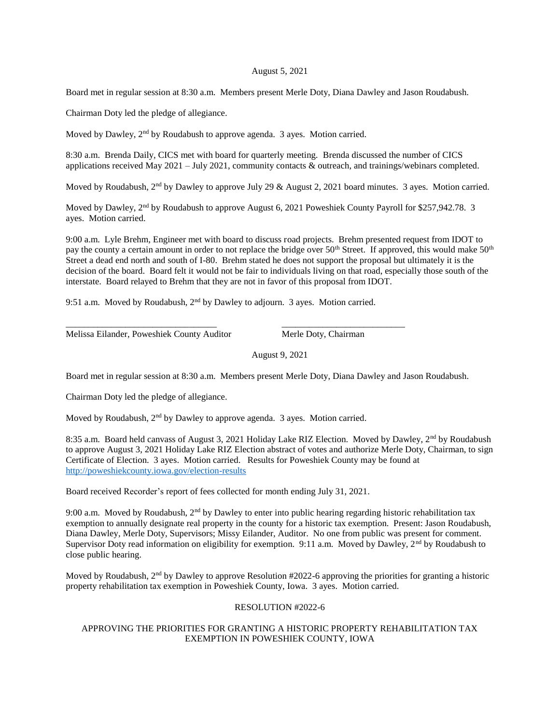## August 5, 2021

Board met in regular session at 8:30 a.m. Members present Merle Doty, Diana Dawley and Jason Roudabush.

Chairman Doty led the pledge of allegiance.

Moved by Dawley, 2<sup>nd</sup> by Roudabush to approve agenda. 3 ayes. Motion carried.

8:30 a.m. Brenda Daily, CICS met with board for quarterly meeting. Brenda discussed the number of CICS applications received May 2021 – July 2021, community contacts & outreach, and trainings/webinars completed.

Moved by Roudabush,  $2<sup>nd</sup>$  by Dawley to approve July 29 & August 2, 2021 board minutes. 3 ayes. Motion carried.

Moved by Dawley, 2<sup>nd</sup> by Roudabush to approve August 6, 2021 Poweshiek County Payroll for \$257,942.78. 3 ayes. Motion carried.

9:00 a.m. Lyle Brehm, Engineer met with board to discuss road projects. Brehm presented request from IDOT to pay the county a certain amount in order to not replace the bridge over  $50<sup>th</sup>$  Street. If approved, this would make  $50<sup>th</sup>$ Street a dead end north and south of I-80. Brehm stated he does not support the proposal but ultimately it is the decision of the board. Board felt it would not be fair to individuals living on that road, especially those south of the interstate. Board relayed to Brehm that they are not in favor of this proposal from IDOT.

9:51 a.m. Moved by Roudabush, 2<sup>nd</sup> by Dawley to adjourn. 3 ayes. Motion carried.

\_\_\_\_\_\_\_\_\_\_\_\_\_\_\_\_\_\_\_\_\_\_\_\_\_\_\_\_\_\_\_\_\_ \_\_\_\_\_\_\_\_\_\_\_\_\_\_\_\_\_\_\_\_\_\_\_\_\_\_\_

Melissa Eilander, Poweshiek County Auditor Merle Doty, Chairman

August 9, 2021

Board met in regular session at 8:30 a.m. Members present Merle Doty, Diana Dawley and Jason Roudabush.

Chairman Doty led the pledge of allegiance.

Moved by Roudabush, 2<sup>nd</sup> by Dawley to approve agenda. 3 ayes. Motion carried.

8:35 a.m. Board held canvass of August 3, 2021 Holiday Lake RIZ Election. Moved by Dawley, 2nd by Roudabush to approve August 3, 2021 Holiday Lake RIZ Election abstract of votes and authorize Merle Doty, Chairman, to sign Certificate of Election. 3 ayes. Motion carried. Results for Poweshiek County may be found at <http://poweshiekcounty.iowa.gov/election-results>

Board received Recorder's report of fees collected for month ending July 31, 2021.

9:00 a.m. Moved by Roudabush, 2<sup>nd</sup> by Dawley to enter into public hearing regarding historic rehabilitation tax exemption to annually designate real property in the county for a historic tax exemption. Present: Jason Roudabush, Diana Dawley, Merle Doty, Supervisors; Missy Eilander, Auditor. No one from public was present for comment. Supervisor Doty read information on eligibility for exemption. 9:11 a.m. Moved by Dawley, 2<sup>nd</sup> by Roudabush to close public hearing.

Moved by Roudabush,  $2<sup>nd</sup>$  by Dawley to approve Resolution #2022-6 approving the priorities for granting a historic property rehabilitation tax exemption in Poweshiek County, Iowa. 3 ayes. Motion carried.

## RESOLUTION #2022-6

## APPROVING THE PRIORITIES FOR GRANTING A HISTORIC PROPERTY REHABILITATION TAX EXEMPTION IN POWESHIEK COUNTY, IOWA